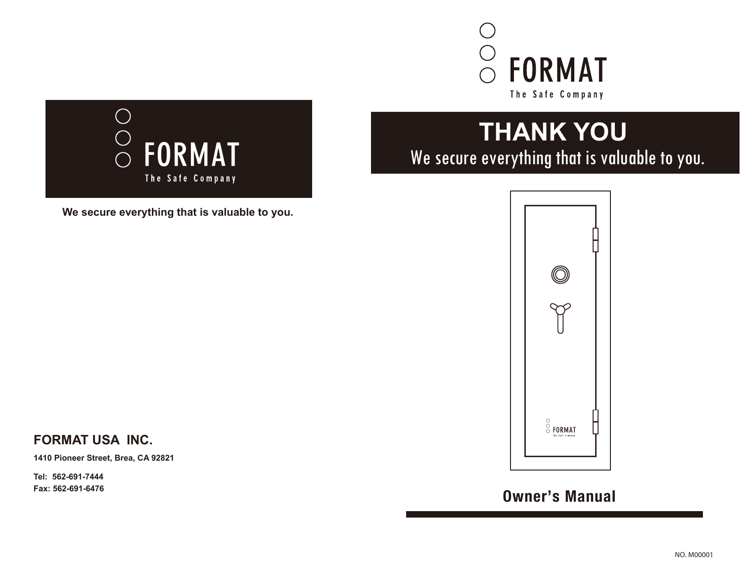



**We secure everything that is valuable to you.**

# **THANK YOU** We secure everything that is valuable to you.



**Tel: 562-691-7444**

**FORMAT USA INC.**

**1410 Pioneer Street, Brea, CA 92821**

## **Fax: 562-691-6476 Owner's Manual**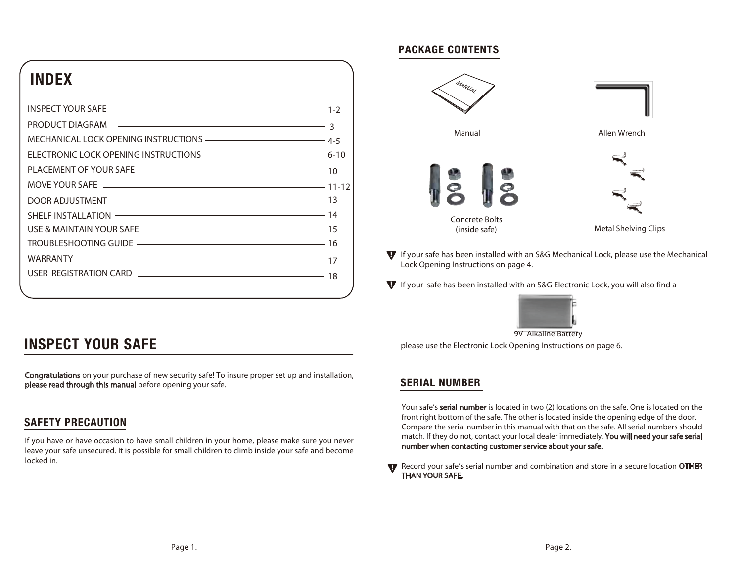## **INDEX**

| MECHANICAL LOCK OPENING INSTRUCTIONS ——————————————————— 4-5 |  |
|--------------------------------------------------------------|--|
| ELECTRONIC LOCK OPENING INSTRUCTIONS ————————————————— 6-10  |  |
|                                                              |  |
| MOVE YOUR SAFE 2000 CONTROL 2012 11-12                       |  |
| DOOR ADJUSTMENT - 23                                         |  |
| SHELF INSTALLATION <b>CONTROLLATION</b> 14                   |  |
|                                                              |  |
|                                                              |  |
|                                                              |  |
| USER REGISTRATION CARD                                       |  |
|                                                              |  |
|                                                              |  |

#### **PACKAGE CONTENTS**



If your safe has been installed with an S&G Mechanical Lock, please use the Mechanical Lock Opening Instructions on page 4.

If your safe has been installed with an S&G Electronic Lock, you will also find a



please use the Electronic Lock Opening Instructions on page 6. 9V Alkaline Battery

### **SERIAL NUMBER**

Your safe's serial number is located in two (2) locations on the safe. One is located on the front right bottom of the safe. The other is located inside the opening edge of the door. Compare the serial number in this manual with that on the safe. All serial numbers should match. If they do not, contact your local dealer immediately. You will need your safe serial number when contacting customer service about your safe.

Record your safe's serial number and combination and store in a secure location OTHER THAN YOUR SAFE.

## **INSPECT YOUR SAFE**

Congratulations on your purchase of new security safe! To insure proper set up and installation, please read through this manual before opening your safe.

### **SAFETY PRECAUTION**

If you have or have occasion to have small children in your home, please make sure you never leave your safe unsecured. It is possible for small children to climb inside your safe and become locked in.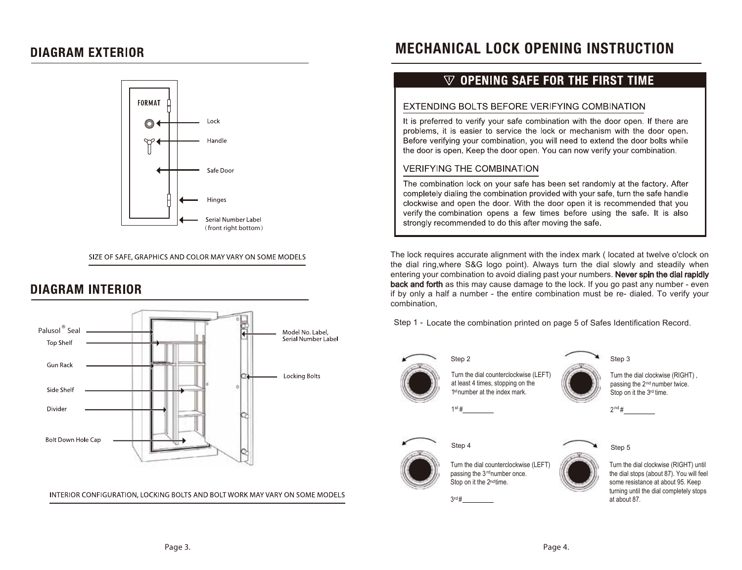### **DIAGRAM EXTERIOR**



SIZE OF SAFE, GRAPHICS AND COLOR MAY VARY ON SOME MODELS

## **DIAGRAM INTERIOR**



INTERIOR CONFIGURATION, LOCKING BOLTS AND BOLT WORK MAY VARY ON SOME MODELS

## **MECHANICAL LOCK OPENING INSTRUCTION**

### $\nabla$  opening safe for the first time

#### EXTENDING BOLTS BEFORE VERIFYING COMBINATION

It is preferred to verify your safe combination with the door open. If there are problems, it is easier to service the lock or mechanism with the door open. Before verifying your combination, you will need to extend the door bolts while the door is open. Keep the door open. You can now verify your combination.

#### **VERIFYING THE COMBINATION**

The combination lock on your safe has been set randomly at the factory. After completely dialing the combination provided with your safe, turn the safe handle clockwise and open the door. With the door open it is recommended that you verify the combination opens a few times before using the safe. It is also strongly recommended to do this after moving the safe.

The lock requires accurate alignment with the index mark ( located at twelve o'clock on the dial ring,where S&G logo point). Always turn the dial slowly and steadily when entering your combination to avoid dialing past your numbers. Never spin the dial rapidly back and forth as this may cause damage to the lock. If you go past any number - even if by only a half a number - the entire combination must be re- dialed. To verify your combination,



Turn the dial counterclockwise (LEFT) at least 4 times, stopping on the  $1<sup>st</sup>$  number at the index mark. Stop on it the  $3<sup>rd</sup>$ 

 $1$ <sup>st</sup> #



Turn the dial clockwise (RIGHT) , passing the 2<sup>nd</sup> number twice. Stop on it the 3<sup>rd</sup> time.

 $2<sup>nd</sup>$ #



Turn the dial counterclockwise (LEFT) passing the 3<sup>rd</sup> number once. Stop on it the 2ndtime.

 $3$ rd #



 Turn the dial clockwise (RIGHT) until the dial stops (about 87). You will feel some resistance at about 95. Keep turning until the dial completely stops at about 87.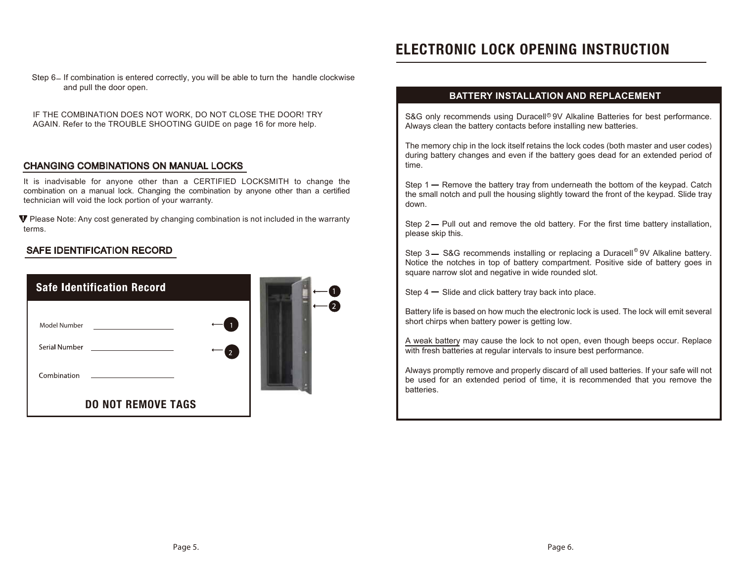## **ELECTRONIC LOCK OPENING INSTRUCTION**

Step 6– If combination is entered correctly, you will be able to turn the handle clockwise and pull the door open.

IF THE COMBINATION DOES NOT WORK, DO NOT CLOSE THE DOOR! TRY AGAIN. Refer to the TROUBLE SHOOTING GUIDE on page 16 for more help.

#### CHANGING COMBINATIONS ON MANUAL LOCKS

It is inadvisable for anyone other than a CERTIFIED LOCKSMITH to change the combination on a manual lock. Changing the combination by anyone other than a certified technician will void the lock portion of your warranty.

 $\Psi$  Please Note: Any cost generated by changing combination is not included in the warranty terms.

#### SAFE IDENTIFICATION RECORD

| <b>Safe Identification Record</b> |   |  |
|-----------------------------------|---|--|
| Model Number                      |   |  |
| Serial Number                     | 2 |  |
| Combination                       |   |  |
| <b>DO NOT REMOVE TAGS</b>         |   |  |

#### **BATTERY INSTALLATION AND REPLACEMENT**

S&G only recommends using Duracell<sup>®</sup> 9V Alkaline Batteries for best performance. Always clean the battery contacts before installing new batteries.

The memory chip in the lock itself retains the lock codes (both master and user codes) during battery changes and even if the battery goes dead for an extended period of time.

Step  $1 -$  Remove the battery tray from underneath the bottom of the keypad. Catch the small notch and pull the housing slightly toward the front of the keypad. Slide tray down.

Step  $2 -$  Pull out and remove the old battery. For the first time battery installation, please skip this.

Step 3 - S&G recommends installing or replacing a Duracell<sup>®</sup> 9V Alkaline battery. Notice the notches in top of battery compartment. Positive side of battery goes in square narrow slot and negative in wide rounded slot.

Step  $4 -$  Slide and click battery tray back into place.

Battery life is based on how much the electronic lock is used. The lock will emit several short chirps when battery power is getting low.

A weak battery may cause the lock to not open, even though beeps occur. Replace with fresh batteries at regular intervals to insure best performance.

Always promptly remove and properly discard of all used batteries. If your safe will not be used for an extended period of time, it is recommended that you remove the batteries.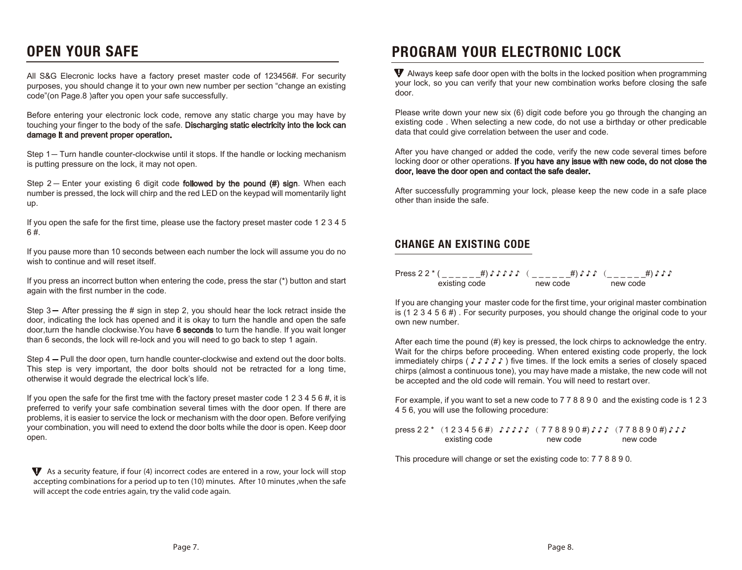## **OPEN YOUR SAFE**

All S&G Elecronic locks have a factory preset master code of 123456#. For security purposes, you should change it to your own new number per section "change an existing code"(on Page.8 )after you open your safe successfully.

Before entering your electronic lock code, remove any static charge you may have by touching your finger to the body of the safe. Discharging static electricity into the lock can damage it and prevent proper operation.

Step 1 - Turn handle counter-clockwise until it stops. If the handle or locking mechanism is putting pressure on the lock, it may not open.

Step  $2-$  Enter your existing 6 digit code **followed by the pound (#) sign**. When each number is pressed, the lock will chirp and the red LED on the keypad will momentarily light up.

If you open the safe for the first time, please use the factory preset master code 1 2 3 4 5 6 #.

If you pause more than 10 seconds between each number the lock will assume you do no wish to continue and will reset itself.

If you press an incorrect button when entering the code, press the star (\*) button and start again with the first number in the code.

Step  $3-$  After pressing the # sign in step 2, you should hear the lock retract inside the door, indicating the lock has opened and it is okay to turn the handle and open the safe door, turn the handle clockwise. You have 6 seconds to turn the handle. If you wait longer than 6 seconds, the lock will re-lock and you will need to go back to step 1 again.

Step 4 – Pull the door open, turn handle counter-clockwise and extend out the door bolts. This step is very important, the door bolts should not be retracted for a long time, otherwise it would degrade the electrical lock's life.

If you open the safe for the first tme with the factory preset master code 1 2 3 4 5 6  $\#$ , it is preferred to verify your safe combination several times with the door open. If there are problems, it is easier to service the lock or mechanism with the door open. Before verifying your combination, you will need to extend the door bolts while the door is open. Keep door open.

 $\blacktriangledown$  As a security feature, if four (4) incorrect codes are entered in a row, your lock will stop accepting combinations for a period up to ten (10) minutes. After 10 minutes ,when the safe will accept the code entries again, try the valid code again.

## **PROGRAM YOUR ELECTRONIC LOCK**

 Always keep safe door open with the bolts in the locked position when programming your lock, so you can verify that your new combination works before closing the safe door.

Please write down your new six (6) digit code before you go through the changing an existing code . When selecting a new code, do not use a birthday or other predicable data that could give correlation between the user and code.

After you have changed or added the code, verify the new code several times before locking door or other operations. If you have any issue with new code, do not close the door, leave the door open and contact the safe dealer.

After successfully programming your lock, please keep the new code in a safe place other than inside the safe.

#### **CHANGE AN EXISTING CODE**

Press 2 2 \* ( \_ \_ \_ \_ \_ \_ \_#) ♪ ♪ ♪ ♪ ♪ ( \_ \_ \_ \_ \_ \_ \_#) ♪ ♪ ♪ ( \_ \_ \_ \_ \_ \_ \_#) ♪ ♪ ♪ existing code **new code** new code

If you are changing your master code for the first time, your original master combination is (1 2 3 4 5 6 #) . For security purposes, you should change the original code to your own new number.

After each time the pound (#) key is pressed, the lock chirps to acknowledge the entry. Wait for the chirps before proceeding. When entered existing code properly, the lock immediately chirps ( ♪ ♪ ♪ ♪ ♪ ) five times. If the lock emits a series of closely spaced chirps (almost a continuous tone), you may have made a mistake, the new code will not be accepted and the old code will remain. You will need to restart over.

For example, if you want to set a new code to 7 7 8 8 9 0 and the existing code is 1 2 3 4 5 6, you will use the following procedure:

press 2 2 \* (1 2 3 4 5 6 #) ♪ ♪ ♪ ♪ ♪ ( 7 7 8 8 9 0 #) ♪ ♪ ♪ (7 7 8 8 9 0 #) ♪ ♪ ♪ existing code **new code** new code new code

This procedure will change or set the existing code to: 7 7 8 8 9 0.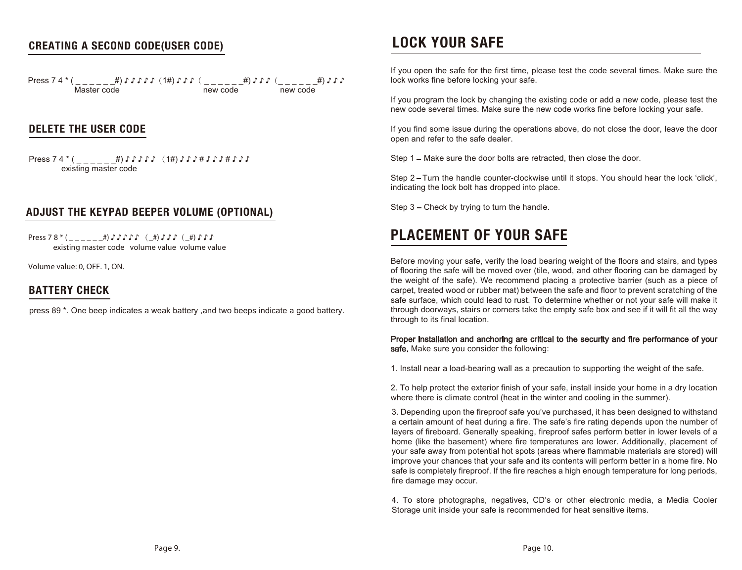#### **CREATING A SECOND CODE(USER CODE)**

Press 7 4 \* ( \_ \_ \_ \_ \_ \_#) ♪ ♪ ♪ ♪ ♪(1#) ♪ ♪ ♪( \_ \_ \_ \_ \_ \_#) ♪ ♪ ♪(\_ \_ \_ \_ \_ \_#) ♪ ♪ ♪ new code

#### **DELETE THE USER CODE**

Press 7 4 \* ( \_ \_ \_ \_ \_ \_ #) ♪ ♪ ♪ ♪ ↓ (1#) ♪ ♪ ♪ # ♪ ♪ ♪ # ♪ ♪ ♪ existing master code

#### **ADJUST THE KEYPAD BEEPER VOLUME (OPTIONAL)**

Press 7 8 \* ( \_ \_ \_ \_ \_ \_#) ♪ ♪ ♪ ♪ ↓ ( \_#) ♪ ♪ ♪ ( \_#) ♪ ♪ ♪ ♪ existing master code volume value volume value

Volume value: 0, OFF. 1, ON.

#### **BATTERY CHECK**

press 89 \*. One beep indicates a weak battery ,and two beeps indicate a good battery.

## **LOCK YOUR SAFE**

If you open the safe for the first time, please test the code several times. Make sure the lock works fine before locking your safe.

If you program the lock by changing the existing code or add a new code, please test the new code several times. Make sure the new code works fine before locking your safe.

If you find some issue during the operations above, do not close the door, leave the door open and refer to the safe dealer.

Step 1 – Make sure the door bolts are retracted, then close the door.

Step 2-Turn the handle counter-clockwise until it stops. You should hear the lock 'click', indicating the lock bolt has dropped into place.

Step  $3$  – Check by trying to turn the handle.

## **PLACEMENT OF YOUR SAFE**

Before moving your safe, verify the load bearing weight of the floors and stairs, and types of flooring the safe will be moved over (tile, wood, and other flooring can be damaged by the weight of the safe). We recommend placing a protective barrier (such as a piece of carpet, treated wood or rubber mat) between the safe and floor to prevent scratching of the safe surface, which could lead to rust. To determine whether or not your safe will make it through doorways, stairs or corners take the empty safe box and see if it will fit all the way through to its final location.

Proper installation and anchoring are critical to the security and fire performance of your safe. Make sure you consider the following:

1. Install near a load-bearing wall as a precaution to supporting the weight of the safe.

2. To help protect the exterior finish of your safe, install inside your home in a dry location where there is climate control (heat in the winter and cooling in the summer).

3. Depending upon the fireproof safe you've purchased, it has been designed to withstand a certain amount of heat during a fire. The safe's fire rating depends upon the number of layers of fireboard. Generally speaking, fireproof safes perform better in lower levels of a home (like the basement) where fire temperatures are lower. Additionally, placement of your safe away from potential hot spots (areas where flammable materials are stored) will improve your chances that your safe and its contents will perform better in a home fire. No safe is completely fireproof. If the fire reaches a high enough temperature for long periods, fire damage may occur.

4. To store photographs, negatives, CD's or other electronic media, a Media Cooler Storage unit inside your safe is recommended for heat sensitive items.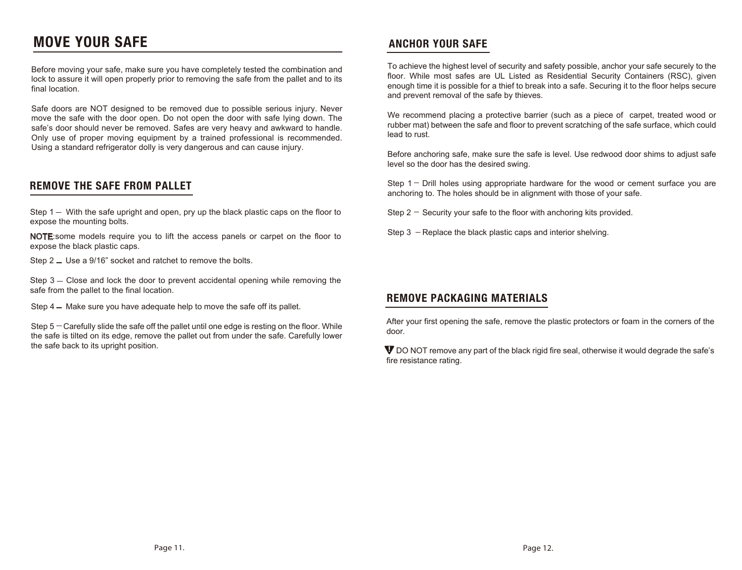## **MOVE YOUR SAFE**

Before moving your safe, make sure you have completely tested the combination and lock to assure it will open properly prior to removing the safe from the pallet and to its final location.

Safe doors are NOT designed to be removed due to possible serious injury. Never move the safe with the door open. Do not open the door with safe lying down. The safe's door should never be removed. Safes are very heavy and awkward to handle. Only use of proper moving equipment by a trained professional is recommended. Using a standard refrigerator dolly is very dangerous and can cause injury.

#### **REMOVE THE SAFE FROM PALLET**

Step  $1 -$  With the safe upright and open, pry up the black plastic caps on the floor to expose the mounting bolts.

NOTE:some models require you to lift the access panels or carpet on the floor to expose the black plastic caps.

Step  $2 -$  Use a 9/16" socket and ratchet to remove the bolts.

Step  $3 -$  Close and lock the door to prevent accidental opening while removing the safe from the pallet to the final location.

Step 4 – Make sure you have adequate help to move the safe off its pallet.

Step  $5 -$  Carefully slide the safe off the pallet until one edge is resting on the floor. While the safe is tilted on its edge, remove the pallet out from under the safe. Carefully lower the safe back to its upright position.

#### **ANCHOR YOUR SAFE**

To achieve the highest level of security and safety possible, anchor your safe securely to the floor. While most safes are UL Listed as Residential Security Containers (RSC), given enough time it is possible for a thief to break into a safe. Securing it to the floor helps secure and prevent removal of the safe by thieves.

We recommend placing a protective barrier (such as a piece of carpet, treated wood or rubber mat) between the safe and floor to prevent scratching of the safe surface, which could lead to rust.

Before anchoring safe, make sure the safe is level. Use redwood door shims to adjust safe level so the door has the desired swing.

Step  $1 -$  Drill holes using appropriate hardware for the wood or cement surface you are anchoring to. The holes should be in alignment with those of your safe.

Step  $2 -$  Security your safe to the floor with anchoring kits provided.

Step  $3$  - Replace the black plastic caps and interior shelving.

#### **REMOVE PACKAGING MATERIALS**

After your first opening the safe, remove the plastic protectors or foam in the corners of the door.

 $\Psi$  DO NOT remove any part of the black rigid fire seal, otherwise it would degrade the safe's fire resistance rating.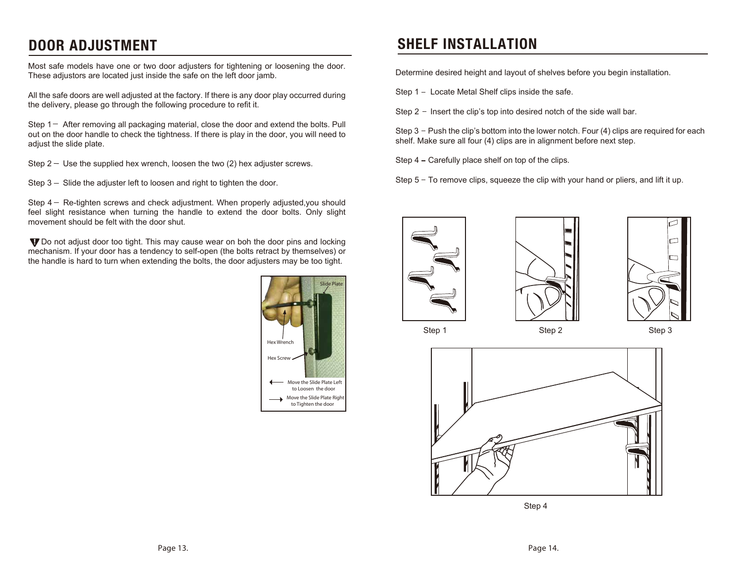Most safe models have one or two door adjusters for tightening or loosening the door. These adjustors are located just inside the safe on the left door jamb.

All the safe doors are well adjusted at the factory. If there is any door play occurred during the delivery, please go through the following procedure to refit it.

Step  $1-$  After removing all packaging material, close the door and extend the bolts. Pull out on the door handle to check the tightness. If there is play in the door, you will need to adjust the slide plate.

Step  $2 -$  Use the supplied hex wrench, loosen the two (2) hex adjuster screws.

Step  $3 -$  Slide the adjuster left to loosen and right to tighten the door.

Step  $4-$  Re-tighten screws and check adjustment. When properly adjusted, you should feel slight resistance when turning the handle to extend the door bolts. Only slight movement should be felt with the door shut.

**V** Do not adjust door too tight. This may cause wear on boh the door pins and locking mechanism. If your door has a tendency to self-open (the bolts retract by themselves) or the handle is hard to turn when extending the bolts, the door adjusters may be too tight.



## **DOOR ADJUSTMENT SHELF INSTALLATION**

Determine desired height and layout of shelves before you begin installation.

Step 1 - Locate Metal Shelf clips inside the safe.

Step  $2 -$  Insert the clip's top into desired notch of the side wall bar.

Step  $3$  - Push the clip's bottom into the lower notch. Four (4) clips are required for each shelf. Make sure all four (4) clips are in alignment before next step.

Step 4 - Carefully place shelf on top of the clips.

Step  $5 - T$ o remove clips, squeeze the clip with your hand or pliers, and lift it up.









Step 4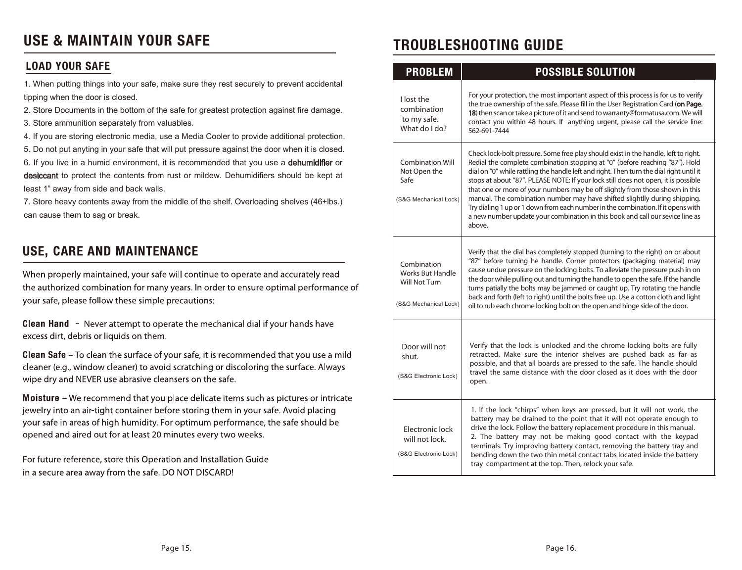## USE & MAINTAIN YOUR SAFE **TROUBLESHOOTING GUIDE**

#### **LOAD YOUR SAFE**

1. When putting things into your safe, make sure they rest securely to prevent accidental tipping when the door is closed.

2. Store Documents in the bottom of the safe for greatest protection against fire damage.

3. Store ammunition separately from valuables.

4. If you are storing electronic media, use a Media Cooler to provide additional protection.

5. Do not put anyting in your safe that will put pressure against the door when it is closed. 6. If you live in a humid environment, it is recommended that you use a dehumidifier or

desiccant to protect the contents from rust or mildew. Dehumidifiers should be kept at least 1" away from side and back walls.

7. Store heavy contents away from the middle of the shelf. Overloading shelves (46+lbs.) can cause them to sag or break.

## **USE, CARE AND MAINTENANCE**

When properly maintained, your safe will continue to operate and accurately read the authorized combination for many years. In order to ensure optimal performance of your safe, please follow these simple precautions:

**Clean Hand**  $-$  Never attempt to operate the mechanical dial if your hands have excess dirt, debris or liquids on them.

Clean Safe - To clean the surface of your safe, it is recommended that you use a mild cleaner (e.g., window cleaner) to avoid scratching or discoloring the surface. Always wipe dry and NEVER use abrasive cleansers on the safe.

**Moisture** – We recommend that you place delicate items such as pictures or intricate jewelry into an air-tight container before storing them in your safe. Avoid placing your safe in areas of high humidity. For optimum performance, the safe should be opened and aired out for at least 20 minutes every two weeks.

For future reference, store this Operation and Installation Guide in a secure area away from the safe. DO NOT DISCARD!

| <b>PROBLEM</b>                                                                          | <b>POSSIBLE SOLUTION</b>                                                                                                                                                                                                                                                                                                                                                                                                                                                                                                                                                                                                                                                                           |
|-----------------------------------------------------------------------------------------|----------------------------------------------------------------------------------------------------------------------------------------------------------------------------------------------------------------------------------------------------------------------------------------------------------------------------------------------------------------------------------------------------------------------------------------------------------------------------------------------------------------------------------------------------------------------------------------------------------------------------------------------------------------------------------------------------|
| I lost the<br>combination<br>to my safe.<br>What do I do?                               | For your protection, the most important aspect of this process is for us to verify<br>the true ownership of the safe. Please fill in the User Registration Card (on Page.<br>18) then scan or take a picture of it and send to warranty@formatusa.com. We will<br>contact you within 48 hours. If anything urgent, please call the service line:<br>562-691-7444                                                                                                                                                                                                                                                                                                                                   |
| <b>Combination Will</b><br>Not Open the<br>Safe<br>(S&G Mechanical Lock)                | Check lock-bolt pressure. Some free play should exist in the handle, left to right.<br>Redial the complete combination stopping at "0" (before reaching "87"). Hold<br>dial on "0" while rattling the handle left and right. Then turn the dial right until it<br>stops at about "87". PLEASE NOTE: If your lock still does not open, it is possible<br>that one or more of your numbers may be off slightly from those shown in this<br>manual. The combination number may have shifted slightlly during shipping.<br>Try dialing 1 up or 1 down from each number in the combination. If it opens with<br>a new number update your combination in this book and call our sevice line as<br>above. |
| Combination<br><b>Works But Handle</b><br><b>Will Not Turn</b><br>(S&G Mechanical Lock) | Verify that the dial has completely stopped (turning to the right) on or about<br>"87" before turning he handle. Corner protectors (packaging material) may<br>cause undue pressure on the locking bolts. To alleviate the pressure push in on<br>the door while pulling out and turning the handle to open the safe. If the handle<br>turns patially the bolts may be jammed or caught up. Try rotating the handle<br>back and forth (left to right) until the bolts free up. Use a cotton cloth and light<br>oil to rub each chrome locking bolt on the open and hinge side of the door.                                                                                                         |
| Door will not<br>shut.<br>(S&G Electronic Lock)                                         | Verify that the lock is unlocked and the chrome locking bolts are fully<br>retracted. Make sure the interior shelves are pushed back as far as<br>possible, and that all boards are pressed to the safe. The handle should<br>travel the same distance with the door closed as it does with the door<br>open.                                                                                                                                                                                                                                                                                                                                                                                      |
| Electronic lock<br>will not lock.<br>(S&G Electronic Lock)                              | 1. If the lock "chirps" when keys are pressed, but it will not work, the<br>battery may be drained to the point that it will not operate enough to<br>drive the lock. Follow the battery replacement procedure in this manual.<br>2. The battery may not be making good contact with the keypad<br>terminals. Try improving battery contact, removing the battery tray and<br>bending down the two thin metal contact tabs located inside the battery<br>tray compartment at the top. Then, relock your safe.                                                                                                                                                                                      |